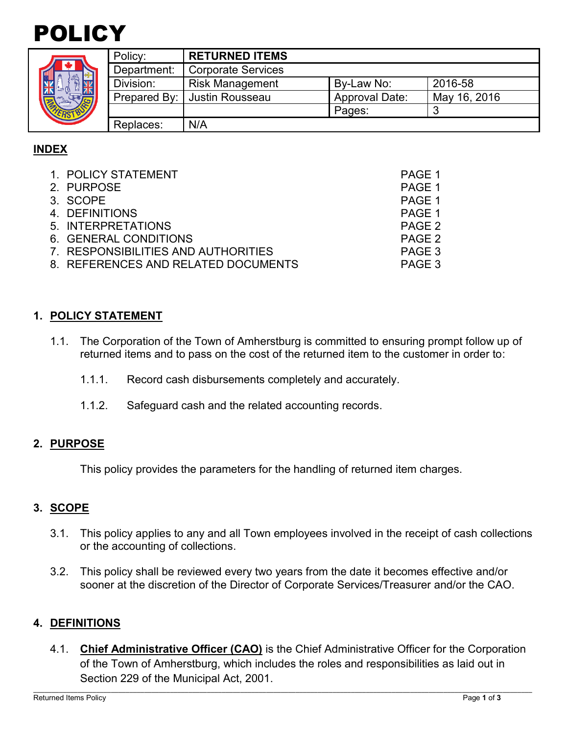

|  | Policy:     | <b>RETURNED ITEMS</b>          |                       |              |
|--|-------------|--------------------------------|-----------------------|--------------|
|  | Department: | <b>Corporate Services</b>      |                       |              |
|  | Division:   | <b>Risk Management</b>         | By-Law No:            | 2016-58      |
|  |             | Prepared By:   Justin Rousseau | <b>Approval Date:</b> | May 16, 2016 |
|  |             |                                | Pages:                |              |
|  | Replaces:   | N/A                            |                       |              |

## **INDEX**

| 1. POLICY STATEMENT                 | PAGE 1            |
|-------------------------------------|-------------------|
| 2. PURPOSE                          | PAGE 1            |
| 3. SCOPE                            | PAGE 1            |
| 4. DEFINITIONS                      | PAGE 1            |
| 5. INTERPRETATIONS                  | PAGE <sub>2</sub> |
| 6. GENERAL CONDITIONS               | PAGE 2            |
| 7. RESPONSIBILITIES AND AUTHORITIES | PAGE 3            |
| 8. REFERENCES AND RELATED DOCUMENTS | PAGE 3            |

## **1. POLICY STATEMENT**

- 1.1. The Corporation of the Town of Amherstburg is committed to ensuring prompt follow up of returned items and to pass on the cost of the returned item to the customer in order to:
	- 1.1.1. Record cash disbursements completely and accurately.
	- 1.1.2. Safeguard cash and the related accounting records.

#### **2. PURPOSE**

This policy provides the parameters for the handling of returned item charges.

#### **3. SCOPE**

- 3.1. This policy applies to any and all Town employees involved in the receipt of cash collections or the accounting of collections.
- 3.2. This policy shall be reviewed every two years from the date it becomes effective and/or sooner at the discretion of the Director of Corporate Services/Treasurer and/or the CAO.

#### **4. DEFINITIONS**

4.1. **Chief Administrative Officer (CAO)** is the Chief Administrative Officer for the Corporation of the Town of Amherstburg, which includes the roles and responsibilities as laid out in Section 229 of the Municipal Act, 2001.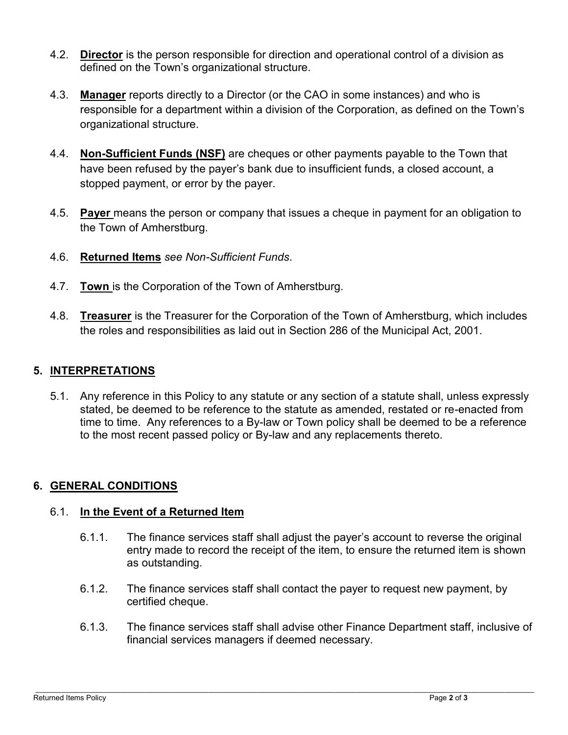- 4.2. **Director** is the person responsible for direction and operational control of a division as defined on the Town's organizational structure.
- 4.3. **Manager** reports directly to a Director (or the CAO in some instances) and who is responsible for a department within a division of the Corporation, as defined on the Town's organizational structure.
- 4.4. **Non-Sufficient Funds (NSF)** are cheques or other payments payable to the Town that have been refused by the payer's bank due to insufficient funds, a closed account, a stopped payment, or error by the payer.
- 4.5. **Payer** means the person or company that issues a cheque in payment for an obligation to the Town of Amherstburg.
- 4.6. **Returned Items** *see Non-Sufficient Funds*.
- 4.7. **Town** is the Corporation of the Town of Amherstburg.
- 4.8. **Treasurer** is the Treasurer for the Corporation of the Town of Amherstburg, which includes the roles and responsibilities as laid out in Section 286 of the Municipal Act, 2001.

## **5. INTERPRETATIONS**

5.1. Any reference in this Policy to any statute or any section of a statute shall, unless expressly stated, be deemed to be reference to the statute as amended, restated or re-enacted from time to time. Any references to a By-law or Town policy shall be deemed to be a reference to the most recent passed policy or By-law and any replacements thereto.

# **6. GENERAL CONDITIONS**

## 6.1. **In the Event of a Returned Item**

- 6.1.1. The finance services staff shall adjust the payer's account to reverse the original entry made to record the receipt of the item, to ensure the returned item is shown as outstanding.
- 6.1.2. The finance services staff shall contact the payer to request new payment, by certified cheque.
- 6.1.3. The finance services staff shall advise other Finance Department staff, inclusive of financial services managers if deemed necessary.